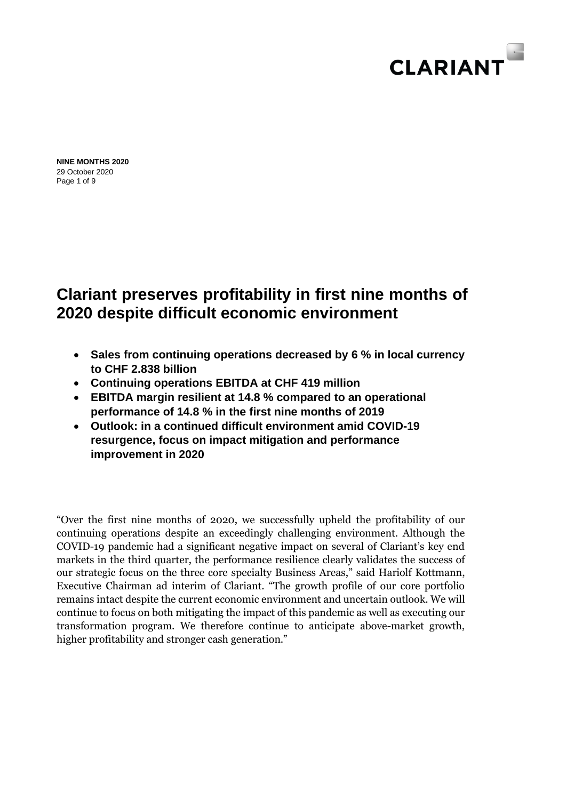

Page 1 of 9 **NINE MONTHS 2020** 29 October 2020

# **Clariant preserves profitability in first nine months of 2020 despite difficult economic environment**

- **Sales from continuing operations decreased by 6 % in local currency to CHF 2.838 billion**
- **Continuing operations EBITDA at CHF 419 million**
- **EBITDA margin resilient at 14.8 % compared to an operational performance of 14.8 % in the first nine months of 2019**
- **Outlook: in a continued difficult environment amid COVID-19 resurgence, focus on impact mitigation and performance improvement in 2020**

"Over the first nine months of 2020, we successfully upheld the profitability of our continuing operations despite an exceedingly challenging environment. Although the COVID-19 pandemic had a significant negative impact on several of Clariant's key end markets in the third quarter, the performance resilience clearly validates the success of our strategic focus on the three core specialty Business Areas," said Hariolf Kottmann, Executive Chairman ad interim of Clariant. "The growth profile of our core portfolio remains intact despite the current economic environment and uncertain outlook. We will continue to focus on both mitigating the impact of this pandemic as well as executing our transformation program. We therefore continue to anticipate above-market growth, higher profitability and stronger cash generation."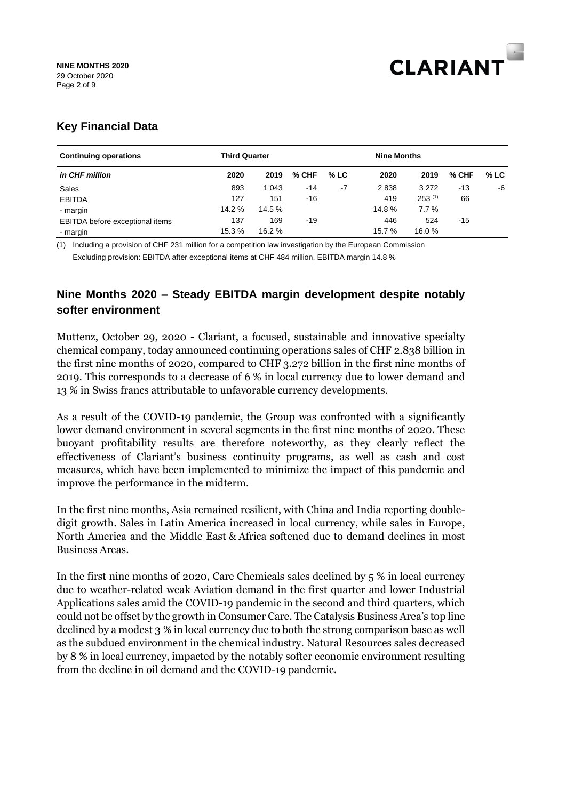

# **Key Financial Data**

| <b>Continuing operations</b>    | <b>Third Quarter</b> |         |         | <b>Nine Months</b> |        |             |         |        |
|---------------------------------|----------------------|---------|---------|--------------------|--------|-------------|---------|--------|
| in CHF million                  | 2020                 | 2019    | $%$ CHF | $%$ LC             | 2020   | 2019        | $%$ CHF | $%$ LC |
| Sales                           | 893                  | 1 0 4 3 | -14     | -7                 | 2838   | 3 2 7 2     | $-13$   | -6     |
| <b>EBITDA</b>                   | 127                  | 151     | -16     |                    | 419    | $253^{(1)}$ | 66      |        |
| - margin                        | 14.2 %               | 14.5 %  |         |                    | 14.8%  | 7.7%        |         |        |
| EBITDA before exceptional items | 137                  | 169     | -19     |                    | 446    | 524         | -15     |        |
| - margin                        | 15.3 %               | 16.2 %  |         |                    | 15.7 % | 16.0%       |         |        |

(1) Including a provision of CHF 231 million for a competition law investigation by the European Commission Excluding provision: EBITDA after exceptional items at CHF 484 million, EBITDA margin 14.8 %

# **Nine Months 2020 – Steady EBITDA margin development despite notably softer environment**

Muttenz, October 29, 2020 - Clariant, a focused, sustainable and innovative specialty chemical company, today announced continuing operations sales of CHF 2.838 billion in the first nine months of 2020, compared to CHF 3.272 billion in the first nine months of 2019. This corresponds to a decrease of 6 % in local currency due to lower demand and 13 % in Swiss francs attributable to unfavorable currency developments.

As a result of the COVID-19 pandemic, the Group was confronted with a significantly lower demand environment in several segments in the first nine months of 2020. These buoyant profitability results are therefore noteworthy, as they clearly reflect the effectiveness of Clariant's business continuity programs, as well as cash and cost measures, which have been implemented to minimize the impact of this pandemic and improve the performance in the midterm.

In the first nine months, Asia remained resilient, with China and India reporting doubledigit growth. Sales in Latin America increased in local currency, while sales in Europe, North America and the Middle East & Africa softened due to demand declines in most Business Areas.

In the first nine months of 2020, Care Chemicals sales declined by 5 % in local currency due to weather-related weak Aviation demand in the first quarter and lower Industrial Applications sales amid the COVID-19 pandemic in the second and third quarters, which could not be offset by the growth in Consumer Care. The Catalysis Business Area's top line declined by a modest 3 % in local currency due to both the strong comparison base as well as the subdued environment in the chemical industry. Natural Resources sales decreased by 8 % in local currency, impacted by the notably softer economic environment resulting from the decline in oil demand and the COVID-19 pandemic.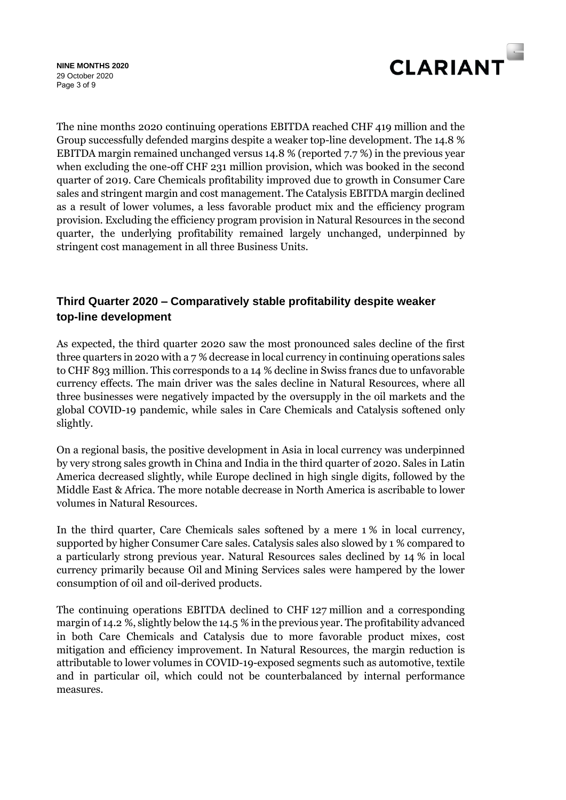

Page 3 of 9 **NINE MONTHS 2020** 29 October 2020

The nine months 2020 continuing operations EBITDA reached CHF 419 million and the Group successfully defended margins despite a weaker top-line development. The 14.8 % EBITDA margin remained unchanged versus 14.8 % (reported 7.7 %) in the previous year when excluding the one-off CHF 231 million provision, which was booked in the second quarter of 2019. Care Chemicals profitability improved due to growth in Consumer Care sales and stringent margin and cost management. The Catalysis EBITDA margin declined as a result of lower volumes, a less favorable product mix and the efficiency program provision. Excluding the efficiency program provision in Natural Resources in the second quarter, the underlying profitability remained largely unchanged, underpinned by stringent cost management in all three Business Units.

# **Third Quarter 2020 – Comparatively stable profitability despite weaker top-line development**

As expected, the third quarter 2020 saw the most pronounced sales decline of the first three quarters in 2020 with a 7 % decrease in local currency in continuing operations sales to CHF 893 million. This corresponds to a 14 % decline in Swiss francs due to unfavorable currency effects. The main driver was the sales decline in Natural Resources, where all three businesses were negatively impacted by the oversupply in the oil markets and the global COVID-19 pandemic, while sales in Care Chemicals and Catalysis softened only slightly.

On a regional basis, the positive development in Asia in local currency was underpinned by very strong sales growth in China and India in the third quarter of 2020. Sales in Latin America decreased slightly, while Europe declined in high single digits, followed by the Middle East & Africa. The more notable decrease in North America is ascribable to lower volumes in Natural Resources.

In the third quarter, Care Chemicals sales softened by a mere 1 % in local currency, supported by higher Consumer Care sales. Catalysis sales also slowed by 1 % compared to a particularly strong previous year. Natural Resources sales declined by 14 % in local currency primarily because Oil and Mining Services sales were hampered by the lower consumption of oil and oil-derived products.

The continuing operations EBITDA declined to CHF 127 million and a corresponding margin of 14.2 %, slightly below the 14.5 % in the previous year. The profitability advanced in both Care Chemicals and Catalysis due to more favorable product mixes, cost mitigation and efficiency improvement. In Natural Resources, the margin reduction is attributable to lower volumes in COVID-19-exposed segments such as automotive, textile and in particular oil, which could not be counterbalanced by internal performance measures.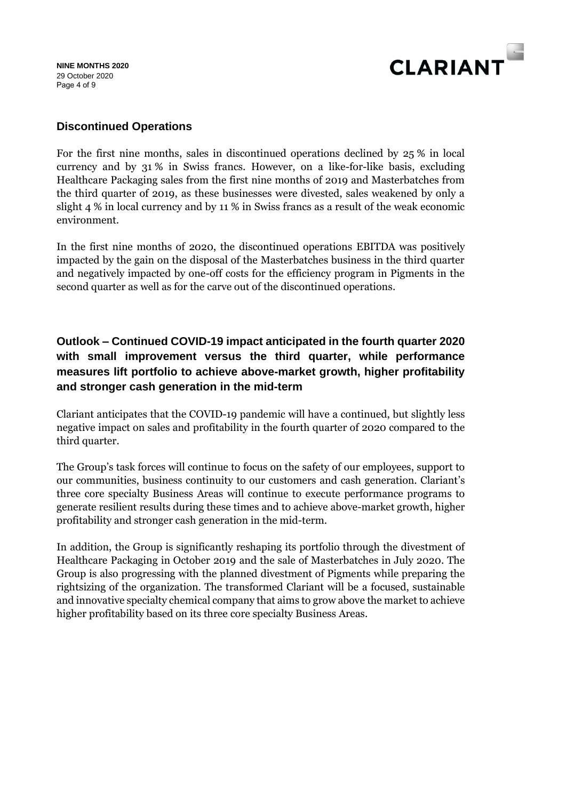#### Page 4 of 9 **NINE MONTHS 2020** 29 October 2020



# **Discontinued Operations**

For the first nine months, sales in discontinued operations declined by 25 % in local currency and by 31 % in Swiss francs. However, on a like-for-like basis, excluding Healthcare Packaging sales from the first nine months of 2019 and Masterbatches from the third quarter of 2019, as these businesses were divested, sales weakened by only a slight 4 % in local currency and by 11 % in Swiss francs as a result of the weak economic environment.

In the first nine months of 2020, the discontinued operations EBITDA was positively impacted by the gain on the disposal of the Masterbatches business in the third quarter and negatively impacted by one-off costs for the efficiency program in Pigments in the second quarter as well as for the carve out of the discontinued operations.

# **Outlook – Continued COVID-19 impact anticipated in the fourth quarter 2020 with small improvement versus the third quarter, while performance measures lift portfolio to achieve above-market growth, higher profitability and stronger cash generation in the mid-term**

Clariant anticipates that the COVID-19 pandemic will have a continued, but slightly less negative impact on sales and profitability in the fourth quarter of 2020 compared to the third quarter.

The Group's task forces will continue to focus on the safety of our employees, support to our communities, business continuity to our customers and cash generation. Clariant's three core specialty Business Areas will continue to execute performance programs to generate resilient results during these times and to achieve above-market growth, higher profitability and stronger cash generation in the mid-term.

In addition, the Group is significantly reshaping its portfolio through the divestment of Healthcare Packaging in October 2019 and the sale of Masterbatches in July 2020. The Group is also progressing with the planned divestment of Pigments while preparing the rightsizing of the organization. The transformed Clariant will be a focused, sustainable and innovative specialty chemical company that aims to grow above the market to achieve higher profitability based on its three core specialty Business Areas.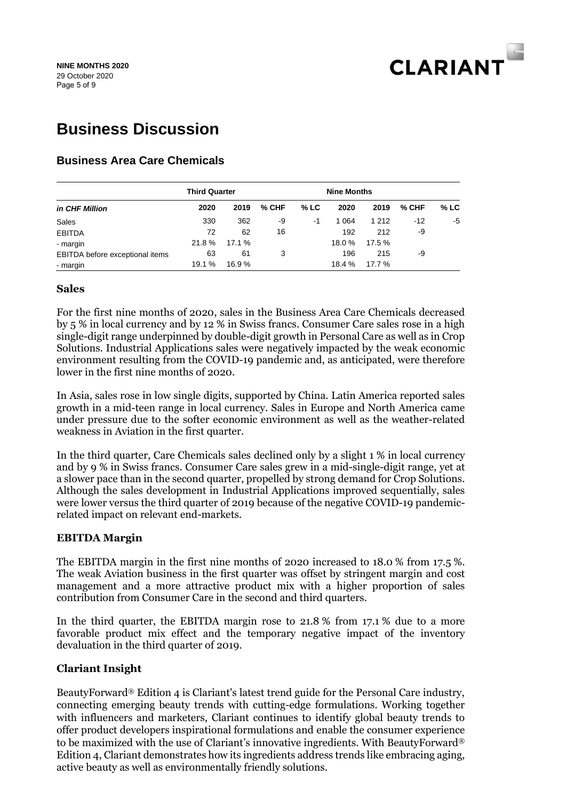

# **Business Discussion**

# **Business Area Care Chemicals**

|                                 | <b>Third Quarter</b> |        |       |        | <b>Nine Months</b> |         |       |        |
|---------------------------------|----------------------|--------|-------|--------|--------------------|---------|-------|--------|
| in CHF Million                  | 2020                 | 2019   | % CHF | $%$ LC | 2020               | 2019    | % CHF | $%$ LC |
| Sales                           | 330                  | 362    | -9    | $-1$   | 1 0 64             | 1 2 1 2 | -12   | -5     |
| <b>EBITDA</b>                   | 72                   | 62     | 16    |        | 192                | 212     | -9    |        |
| - margin                        | 21.8%                | 17.1 % |       |        | 18.0 %             | 17.5 %  |       |        |
| EBITDA before exceptional items | 63                   | 61     | 3     |        | 196                | 215     | -9    |        |
| - margin                        | 19.1 %               | 16.9%  |       |        | 18.4 %             | 17.7 %  |       |        |

#### **Sales**

For the first nine months of 2020, sales in the Business Area Care Chemicals decreased by 5 % in local currency and by 12 % in Swiss francs. Consumer Care sales rose in a high single-digit range underpinned by double-digit growth in Personal Care as well as in Crop Solutions. Industrial Applications sales were negatively impacted by the weak economic environment resulting from the COVID-19 pandemic and, as anticipated, were therefore lower in the first nine months of 2020.

In Asia, sales rose in low single digits, supported by China. Latin America reported sales growth in a mid-teen range in local currency. Sales in Europe and North America came under pressure due to the softer economic environment as well as the weather-related weakness in Aviation in the first quarter.

In the third quarter, Care Chemicals sales declined only by a slight 1 % in local currency and by 9 % in Swiss francs. Consumer Care sales grew in a mid-single-digit range, yet at a slower pace than in the second quarter, propelled by strong demand for Crop Solutions. Although the sales development in Industrial Applications improved sequentially, sales were lower versus the third quarter of 2019 because of the negative COVID-19 pandemicrelated impact on relevant end-markets.

#### **EBITDA Margin**

The EBITDA margin in the first nine months of 2020 increased to 18.0 % from 17.5 %. The weak Aviation business in the first quarter was offset by stringent margin and cost management and a more attractive product mix with a higher proportion of sales contribution from Consumer Care in the second and third quarters.

In the third quarter, the EBITDA margin rose to 21.8 % from 17.1 % due to a more favorable product mix effect and the temporary negative impact of the inventory devaluation in the third quarter of 2019.

#### **Clariant Insight**

BeautyForward® Edition 4 is Clariant's latest trend guide for the Personal Care industry, connecting emerging beauty trends with cutting-edge formulations. Working together with influencers and marketers, Clariant continues to identify global beauty trends to offer product developers inspirational formulations and enable the consumer experience to be maximized with the use of Clariant's innovative ingredients. With BeautyForward® Edition 4, Clariant demonstrates how its ingredients address trends like embracing aging, active beauty as well as environmentally friendly solutions.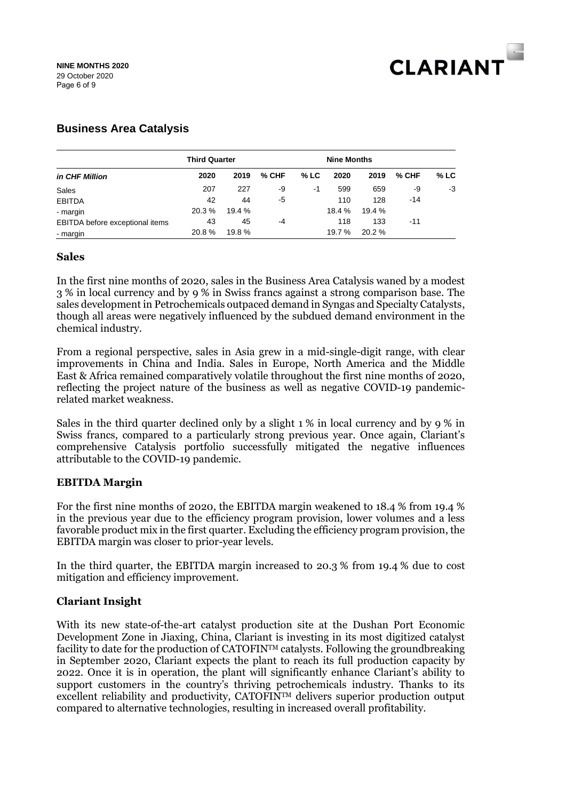

# **Business Area Catalysis**

|                                 | <b>Third Quarter</b> |        |         |      | <b>Nine Months</b> |        |       |        |
|---------------------------------|----------------------|--------|---------|------|--------------------|--------|-------|--------|
| in CHF Million                  | 2020                 | 2019   | $%$ CHF | % LC | 2020               | 2019   | % CHF | $%$ LC |
| Sales                           | 207                  | 227    | -9      | -1   | 599                | 659    | -9    | -3     |
| <b>EBITDA</b>                   | 42                   | 44     | -5      |      | 110                | 128    | $-14$ |        |
| - margin                        | 20.3 %               | 19.4 % |         |      | 18.4 %             | 19.4 % |       |        |
| EBITDA before exceptional items | 43                   | 45     | -4      |      | 118                | 133    | -11   |        |
| - margin                        | 20.8%                | 19.8 % |         |      | 19.7 %             | 20.2%  |       |        |

#### **Sales**

In the first nine months of 2020, sales in the Business Area Catalysis waned by a modest 3 % in local currency and by 9 % in Swiss francs against a strong comparison base. The sales development in Petrochemicals outpaced demand in Syngas and Specialty Catalysts, though all areas were negatively influenced by the subdued demand environment in the chemical industry.

From a regional perspective, sales in Asia grew in a mid-single-digit range, with clear improvements in China and India. Sales in Europe, North America and the Middle East & Africa remained comparatively volatile throughout the first nine months of 2020, reflecting the project nature of the business as well as negative COVID-19 pandemicrelated market weakness.

Sales in the third quarter declined only by a slight 1 % in local currency and by 9 % in Swiss francs, compared to a particularly strong previous year. Once again, Clariant's comprehensive Catalysis portfolio successfully mitigated the negative influences attributable to the COVID-19 pandemic.

#### **EBITDA Margin**

For the first nine months of 2020, the EBITDA margin weakened to 18.4 % from 19.4 % in the previous year due to the efficiency program provision, lower volumes and a less favorable product mix in the first quarter. Excluding the efficiency program provision, the EBITDA margin was closer to prior-year levels.

In the third quarter, the EBITDA margin increased to 20.3 % from 19.4 % due to cost mitigation and efficiency improvement.

#### **Clariant Insight**

With its new state-of-the-art catalyst production site at the Dushan Port Economic Development Zone in Jiaxing, China, Clariant is investing in its most digitized catalyst facility to date for the production of  $CATOFIN<sup>TM</sup>$  catalysts. Following the groundbreaking in September 2020, Clariant expects the plant to reach its full production capacity by 2022. Once it is in operation, the plant will significantly enhance Clariant's ability to support customers in the country's thriving petrochemicals industry. Thanks to its excellent reliability and productivity, CATOFINTM delivers superior production output compared to alternative technologies, resulting in increased overall profitability.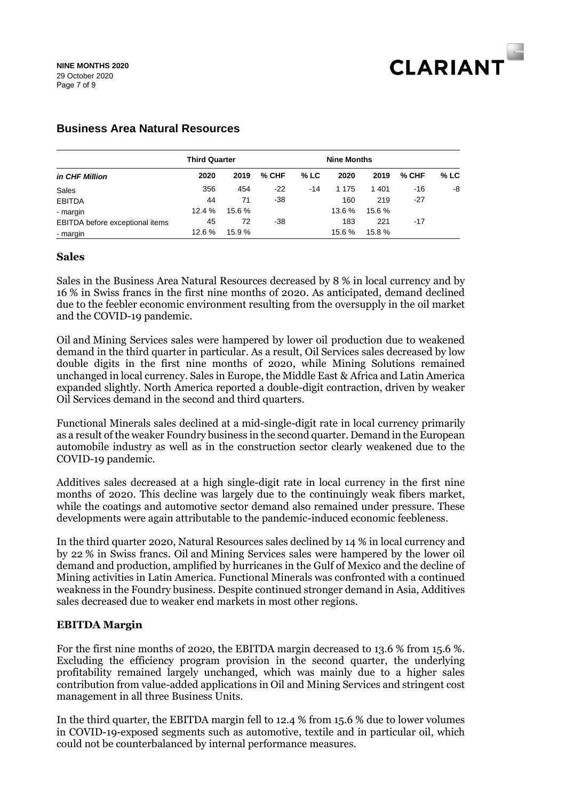

|                                 | <b>Third Quarter</b> |        |         | <b>Nine Months</b> |         |        |         |      |
|---------------------------------|----------------------|--------|---------|--------------------|---------|--------|---------|------|
| in CHF Million                  | 2020                 | 2019   | $%$ CHF | $%$ LC             | 2020    | 2019   | $%$ CHF | % LC |
| Sales                           | 356                  | 454    | $-22$   | $-14$              | 1 1 7 5 | 1401   | -16     | -8   |
| <b>EBITDA</b>                   | 44                   | 71     | -38     |                    | 160     | 219    | $-27$   |      |
| - margin                        | 12.4 %               | 15.6 % |         |                    | 13.6 %  | 15.6 % |         |      |
| EBITDA before exceptional items | 45                   | 72     | -38     |                    | 183     | 221    | $-17$   |      |
| - margin                        | 12.6 %               | 15.9 % |         |                    | 15.6 %  | 15.8 % |         |      |

### **Business Area Natural Resources**

#### **Sales**

Sales in the Business Area Natural Resources decreased by 8 % in local currency and by 16 % in Swiss francs in the first nine months of 2020. As anticipated, demand declined due to the feebler economic environment resulting from the oversupply in the oil market and the COVID-19 pandemic.

Oil and Mining Services sales were hampered by lower oil production due to weakened demand in the third quarter in particular. As a result, Oil Services sales decreased by low double digits in the first nine months of 2020, while Mining Solutions remained unchanged in local currency. Sales in Europe, the Middle East & Africa and Latin America expanded slightly. North America reported a double-digit contraction, driven by weaker Oil Services demand in the second and third quarters.

Functional Minerals sales declined at a mid-single-digit rate in local currency primarily as a result of the weaker Foundry business in the second quarter. Demand in the European automobile industry as well as in the construction sector clearly weakened due to the COVID-19 pandemic.

Additives sales decreased at a high single-digit rate in local currency in the first nine months of 2020. This decline was largely due to the continuingly weak fibers market, while the coatings and automotive sector demand also remained under pressure. These developments were again attributable to the pandemic-induced economic feebleness.

In the third quarter 2020, Natural Resources sales declined by 14 % in local currency and by 22 % in Swiss francs. Oil and Mining Services sales were hampered by the lower oil demand and production, amplified by hurricanes in the Gulf of Mexico and the decline of Mining activities in Latin America. Functional Minerals was confronted with a continued weakness in the Foundry business. Despite continued stronger demand in Asia, Additives sales decreased due to weaker end markets in most other regions.

#### **EBITDA Margin**

For the first nine months of 2020, the EBITDA margin decreased to 13.6 % from 15.6 %. Excluding the efficiency program provision in the second quarter, the underlying profitability remained largely unchanged, which was mainly due to a higher sales contribution from value-added applications in Oil and Mining Services and stringent cost management in all three Business Units.

In the third quarter, the EBITDA margin fell to 12.4 % from 15.6 % due to lower volumes in COVID-19-exposed segments such as automotive, textile and in particular oil, which could not be counterbalanced by internal performance measures.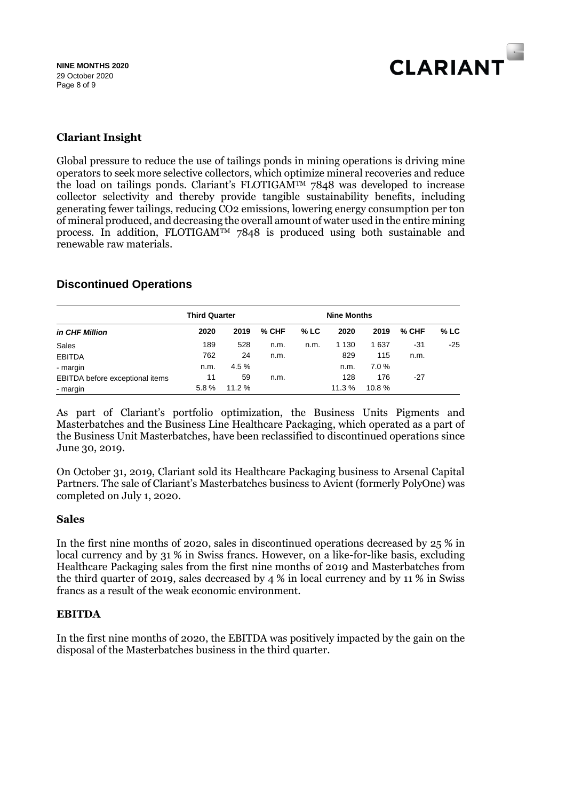

# **Clariant Insight**

Global pressure to reduce the use of tailings ponds in mining operations is driving mine operators to seek more selective collectors, which optimize mineral recoveries and reduce the load on tailings ponds. Clariant's FLOTIGAMTM 7848 was developed to increase collector selectivity and thereby provide tangible sustainability benefits, including generating fewer tailings, reducing CO2 emissions, lowering energy consumption per ton of mineral produced, and decreasing the overall amount of water used in the entire mining process. In addition, FLOTIGAMTM 7848 is produced using both sustainable and renewable raw materials.

### **Discontinued Operations**

|                                 | <b>Third Quarter</b> |       |         |        | <b>Nine Months</b> |       |       |      |
|---------------------------------|----------------------|-------|---------|--------|--------------------|-------|-------|------|
| in CHF Million                  | 2020                 | 2019  | $%$ CHF | $%$ LC | 2020               | 2019  | % CHF | % LC |
| Sales                           | 189                  | 528   | n.m.    | n.m.   | 1 1 3 0            | 1 637 | -31   | -25  |
| <b>EBITDA</b>                   | 762                  | 24    | n.m.    |        | 829                | 115   | n.m.  |      |
| - margin                        | n.m.                 | 4.5%  |         |        | n.m.               | 7.0%  |       |      |
| EBITDA before exceptional items | 11                   | 59    | n.m.    |        | 128                | 176   | -27   |      |
| - margin                        | 5.8%                 | 11.2% |         |        | 11.3 %             | 10.8% |       |      |

As part of Clariant's portfolio optimization, the Business Units Pigments and Masterbatches and the Business Line Healthcare Packaging, which operated as a part of the Business Unit Masterbatches, have been reclassified to discontinued operations since June 30, 2019.

On October 31, 2019, Clariant sold its Healthcare Packaging business to Arsenal Capital Partners. The sale of Clariant's Masterbatches business to Avient (formerly PolyOne) was completed on July 1, 2020.

#### **Sales**

In the first nine months of 2020, sales in discontinued operations decreased by 25 % in local currency and by 31 % in Swiss francs. However, on a like-for-like basis, excluding Healthcare Packaging sales from the first nine months of 2019 and Masterbatches from the third quarter of 2019, sales decreased by 4 % in local currency and by 11 % in Swiss francs as a result of the weak economic environment.

#### **EBITDA**

In the first nine months of 2020, the EBITDA was positively impacted by the gain on the disposal of the Masterbatches business in the third quarter.